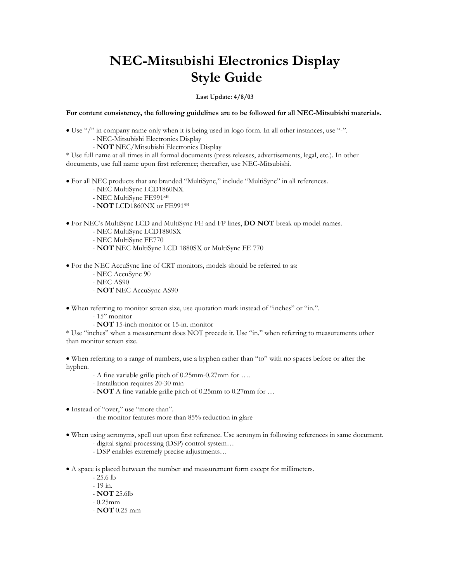## **NEC-Mitsubishi Electronics Display Style Guide**

## **Last Update: 4/8/03**

**For content consistency, the following guidelines are to be followed for all NEC-Mitsubishi materials.** 

- Use "/" in company name only when it is being used in logo form. In all other instances, use "-". - NEC-Mitsubishi Electronics Display
	- **NOT** NEC/Mitsubishi Electronics Display

\* Use full name at all times in all formal documents (press releases, advertisements, legal, etc.). In other documents, use full name upon first reference; thereafter, use NEC-Mitsubishi.

- For all NEC products that are branded "MultiSync," include "MultiSync" in all references.
	- NEC MultiSync LCD1860NX
	- NEC MultiSync FE991SB
	- **NOT** LCD1860NX or FE991SB
- For NEC's MultiSync LCD and MultiSync FE and FP lines, **DO NOT** break up model names.
	- NEC MultiSync LCD1880SX
	- NEC MultiSync FE770
	- **NOT** NEC MultiSync LCD 1880SX or MultiSync FE 770

• For the NEC AccuSync line of CRT monitors, models should be referred to as:

- NEC AccuSync 90
- NEC AS90
- **NOT** NEC AccuSync AS90

• When referring to monitor screen size, use quotation mark instead of "inches" or "in.".

- 15" monitor
- **NOT** 15-inch monitor or 15-in. monitor

\* Use "inches" when a measurement does NOT precede it. Use "in." when referring to measurements other than monitor screen size.

• When referring to a range of numbers, use a hyphen rather than "to" with no spaces before or after the hyphen.

- A fine variable grille pitch of 0.25mm-0.27mm for ….
- Installation requires 20-30 min
- **NOT** A fine variable grille pitch of 0.25mm to 0.27mm for …
- Instead of "over," use "more than".
	- the monitor features more than 85% reduction in glare
- When using acronyms, spell out upon first reference. Use acronym in following references in same document. - digital signal processing (DSP) control system…
	- DSP enables extremely precise adjustments…

• A space is placed between the number and measurement form except for millimeters.

- 25.6 lb
- 19 in.
- **NOT** 25.6lb
- 0.25mm
- **NOT** 0.25 mm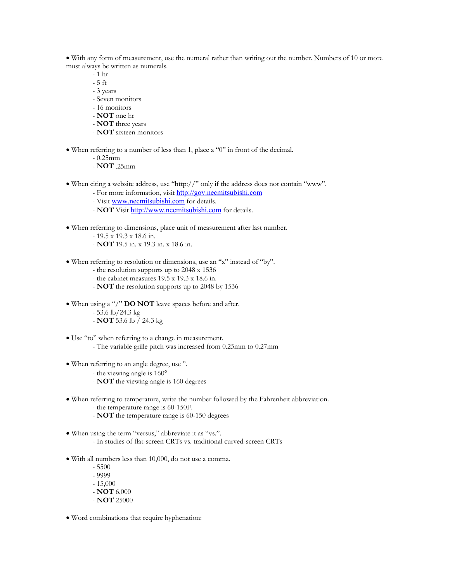• With any form of measurement, use the numeral rather than writing out the number. Numbers of 10 or more must always be written as numerals.

- $-1$  hr
- 5 ft
- 3 years
- Seven monitors
- 16 monitors
- **NOT** one hr
- **NOT** three years
- **NOT** sixteen monitors
- When referring to a number of less than 1, place a "0" in front of the decimal.
	- $-0.25$ mm
	- **NOT** .25mm
- When citing a website address, use "http://" only if the address does not contain "www".
	- For more information, visit [http://gov.necmitsubishi.com](http://gov.necmitsubishi.com/)
	- Visit [www.necmitsubishi.com](http://www.necmitsubishi.com/) for details.
	- **NOT** Visit [http://www.necmitsubishi.com](http://www.necmitsubishi.com/) for details.
- When referring to dimensions, place unit of measurement after last number.
	- 19.5 x 19.3 x 18.6 in.
	- **NOT** 19.5 in. x 19.3 in. x 18.6 in.
- When referring to resolution or dimensions, use an "x" instead of "by".
	- the resolution supports up to 2048 x 1536
	- the cabinet measures 19.5 x 19.3 x 18.6 in.
	- **NOT** the resolution supports up to 2048 by 1536
- When using a "/" **DO NOT** leave spaces before and after.
	- 53.6 lb/24.3 kg
	- **NOT** 53.6 lb / 24.3 kg
- Use "to" when referring to a change in measurement. - The variable grille pitch was increased from 0.25mm to 0.27mm
- When referring to an angle degree, use °.
	- the viewing angle is 160°
	- **NOT** the viewing angle is 160 degrees
- When referring to temperature, write the number followed by the Fahrenheit abbreviation.
	- the temperature range is 60-150F.
	- **NOT** the temperature range is 60-150 degrees
- When using the term "versus," abbreviate it as "vs.". - In studies of flat-screen CRTs vs. traditional curved-screen CRTs
- With all numbers less than 10,000, do not use a comma.
	- 5500 - 9999 - 15,000 - **NOT** 6,000 - **NOT** 25000
- Word combinations that require hyphenation: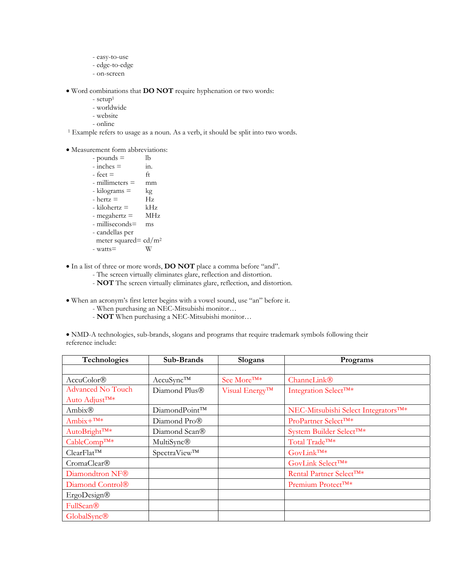- easy-to-use
- edge-to-edge
- on-screen

• Word combinations that **DO NOT** require hyphenation or two words:

- $-$  setup<sup>1</sup>
- worldwide
- website
- online

<sup>1</sup> Example refers to usage as a noun. As a verb, it should be split into two words.

## • Measurement form abbreviations:

| - pounds $=$            | lb         |
|-------------------------|------------|
| $-$ inches $=$          | 11.        |
| $-$ feet $=$            | ft         |
| $-$ millimeters $=$     | mm         |
| - kilograms =           | kg         |
| $-$ hertz $=$           | Hz         |
| - kilohertz =           | kHz        |
| - megahertz =           | <b>MHz</b> |
| - milliseconds=         | ms         |
| - candellas per         |            |
| meter squared= $cd/m^2$ |            |
| $-$ watts $=$           |            |
|                         |            |

• In a list of three or more words, **DO NOT** place a comma before "and".

- The screen virtually eliminates glare, reflection and distortion.
- **NOT** The screen virtually eliminates glare, reflection, and distortion.
- When an acronym's first letter begins with a vowel sound, use "an" before it.
	- When purchasing an NEC-Mitsubishi monitor…
	- **NOT** When purchasing a NEC-Mitsubishi monitor…

• NMD-A technologies, sub-brands, slogans and programs that require trademark symbols following their reference include:

| Technologies                 | Sub-Brands                | Slogans                 | Programs                                         |
|------------------------------|---------------------------|-------------------------|--------------------------------------------------|
|                              |                           |                         |                                                  |
| AccuColor®                   | AccuSync™                 | See More <sup>TM*</sup> | ChanneLink®                                      |
| <b>Advanced No Touch</b>     | Diamond Plus®             | Visual Energy™          | Integration Select <sup>TM*</sup>                |
| Auto Adjust <sup>™*</sup>    |                           |                         |                                                  |
| Ambix®                       | DiamondPoint™             |                         | NEC-Mitsubishi Select Integrators <sup>TM*</sup> |
| $Ambix+^{TM*}$               | Diamond Pro®              |                         | ProPartner Select <sup>TM*</sup>                 |
| AutoBright <sup>TM*</sup>    | Diamond Scan®             |                         | System Builder Select <sup>TM*</sup>             |
| CableComp™*                  | MultiSync®                |                         | Total Trade <sup>TM*</sup>                       |
| $ClearFlat^{TM}$             | SpectraView <sup>TM</sup> |                         | GovLink <sup>TM*</sup>                           |
| CromaClear®                  |                           |                         | GovLink Select <sup>TM*</sup>                    |
| Diamondtron NF®              |                           |                         | Rental Partner Select <sup>TM*</sup>             |
| Diamond Control <sup>®</sup> |                           |                         | Premium Protect <sup>TM*</sup>                   |
| <b>ErgoDesign®</b>           |                           |                         |                                                  |
| FullScan®                    |                           |                         |                                                  |
| GlobalSync®                  |                           |                         |                                                  |